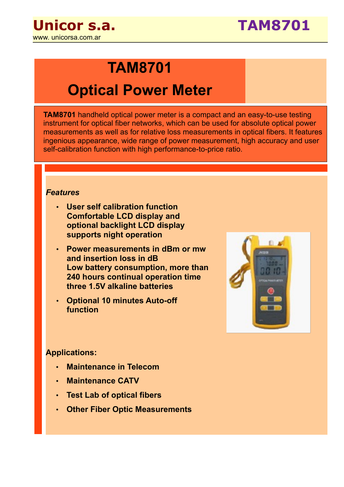

## **TAM8701**

# **Optical Power Meter**

**TAM8701** handheld optical power meter is a compact and an easy-to-use testing instrument for optical fiber networks, which can be used for absolute optical power measurements as well as for relative loss measurements in optical fibers. It features ingenious appearance, wide range of power measurement, high accuracy and user self-calibration function with high performance-to-price ratio.

#### *Features*

- **User self calibration function Comfortable LCD display and optional backlight LCD display supports night operation**
- **Power measurements in dBm or mw and insertion loss in dB Low battery consumption, more than 240 hours continual operation time three 1.5V alkaline batteries**
- **Optional 10 minutes Auto-off function**



#### **Applications:**

- **Maintenance in Telecom**
- **Maintenance CATV**
- **Test Lab of optical fibers**
- **Other Fiber Optic Measurements**